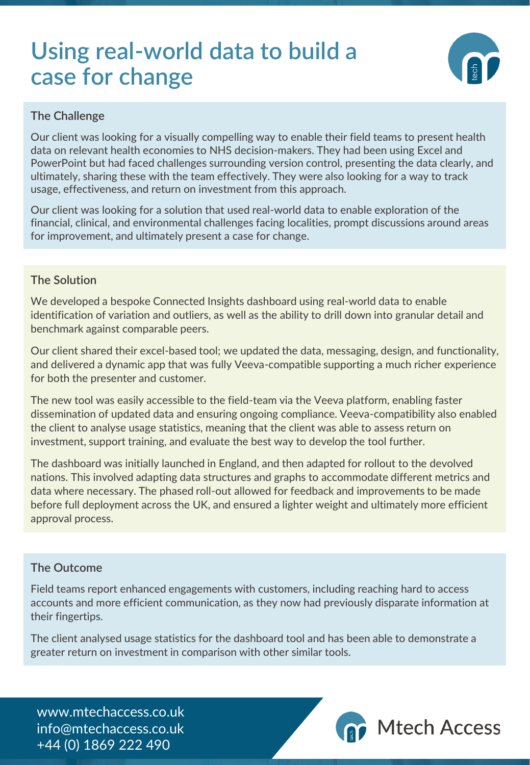# **Using real-world data to build a case for change**



# **The Challenge**

Our client was looking for a visually compelling way to enable their field teams to present health data on relevant health economies to NHS decision-makers. They had been using Excel and PowerPoint but had faced challenges surrounding version control, presenting the data clearly, and ultimately, sharing these with the team effectively. They were also looking for a way to track usage, effectiveness, and return on investment from this approach.

Our client was looking for a solution that used real-world data to enable exploration of the financial, clinical, and environmental challenges facing localities, prompt discussions around areas for improvement, and ultimately present a case for change.

## **The Solution**

We developed a bespoke Connected Insights dashboard using real-world data to enable identification of variation and outliers, as well as the ability to drill down into granular detail and benchmark against comparable peers.

Our client shared their excel-based tool; we updated the data, messaging, design, and functionality, and delivered a dynamic app that was fully Veeva-compatible supporting a much richer experience for both the presenter and customer.

The new tool was easily accessible to the field-team via the Veeva platform, enabling faster dissemination of updated data and ensuring ongoing compliance. Veeva-compatibility also enabled the client to analyse usage statistics, meaning that the client was able to assess return on investment, support training, and evaluate the best way to develop the tool further.

The dashboard was initially launched in England, and then adapted for rollout to the devolved nations. This involved adapting data structures and graphs to accommodate different metrics and data where necessary. The phased roll-out allowed for feedback and improvements to be made before full deployment across the UK, and ensured a lighter weight and ultimately more efficient approval process.

#### **The Outcome**

Field teams report enhanced engagements with customers, including reaching hard to access accounts and more efficient communication, as they now had previously disparate information at their fingertips.

The client analysed usage statistics for the dashboard tool and has been able to demonstrate a greater return on investment in comparison with other similar tools.

www.mtechaccess.co.uk info@mtechaccess.co.uk +44 (0) 1869 222 490